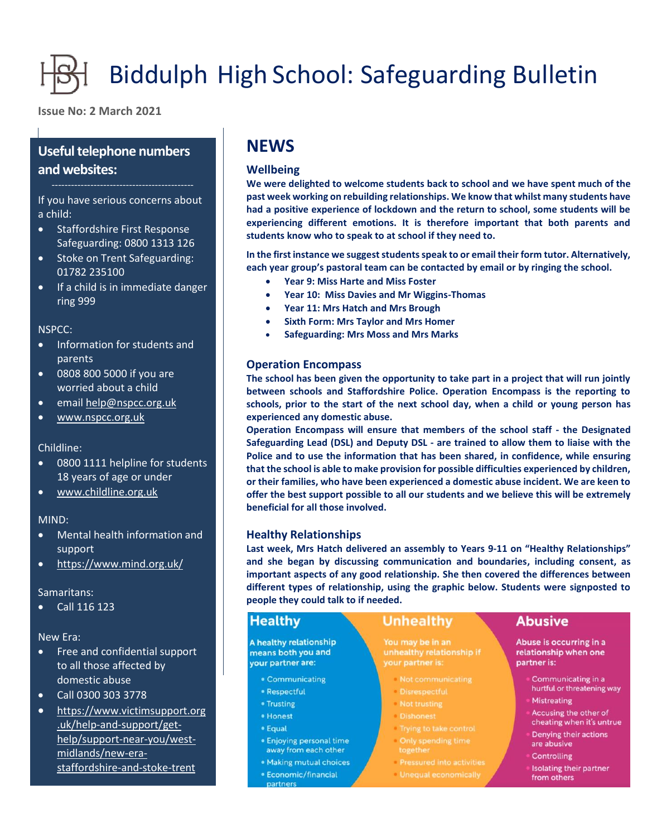# Biddulph High School: Safeguarding Bulletin

**Issue No: 2 March 2021**

### **Useful telephone numbers and websites:**

If you have serious concerns about a child:

- Staffordshire First Response Safeguarding: 0800 1313 126
- Stoke on Trent Safeguarding: 01782 235100
- If a child is in immediate danger ring 999

NSPCC:

- Information for students and parents
- 0808 800 5000 if you are worried about a child
- email [help@nspcc.org.uk](mailto:help@nspcc.org.uk)
- [www.nspcc.org.uk](http://www.nspcc.org.uk/)

#### Childline:

- 0800 1111 helpline for students 18 years of age or under
- [www.childline.org.uk](http://www.childline.org.uk/)

#### MIND:

- Mental health information and support
- <https://www.mind.org.uk/>

#### Samaritans:

Call 116 123

New Era:

- Free and confidential support to all those affected by domestic abuse
- Call 0300 303 3778
- [https://www.victimsupport.org](https://www.victimsupport.org.uk/help-and-support/get-help/support-near-you/west-midlands/new-era-staffordshire-and-stoke-trent) [.uk/help-and-support/get](https://www.victimsupport.org.uk/help-and-support/get-help/support-near-you/west-midlands/new-era-staffordshire-and-stoke-trent)[help/support-near-you/west](https://www.victimsupport.org.uk/help-and-support/get-help/support-near-you/west-midlands/new-era-staffordshire-and-stoke-trent)[midlands/new-era](https://www.victimsupport.org.uk/help-and-support/get-help/support-near-you/west-midlands/new-era-staffordshire-and-stoke-trent)[staffordshire-and-stoke-trent](https://www.victimsupport.org.uk/help-and-support/get-help/support-near-you/west-midlands/new-era-staffordshire-and-stoke-trent)

## **NEWS**

#### **Wellbeing**

**We were delighted to welcome students back to school and we have spent much of the past week working on rebuilding relationships. We know that whilst many students have had a positive experience of lockdown and the return to school, some students will be experiencing different emotions. It is therefore important that both parents and students know who to speak to at school if they need to.**

**In the first instance we suggest students speak to or email their form tutor. Alternatively, each year group's pastoral team can be contacted by email or by ringing the school.**

- **Year 9: Miss Harte and Miss Foster**
- **Year 10: Miss Davies and Mr Wiggins-Thomas**
- **Year 11: Mrs Hatch and Mrs Brough**
- **Sixth Form: Mrs Taylor and Mrs Homer**
- **Safeguarding: Mrs Moss and Mrs Marks**

#### **Operation Encompass**

**The school has been given the opportunity to take part in a project that will run jointly between schools and Staffordshire Police. Operation Encompass is the reporting to schools, prior to the start of the next school day, when a child or young person has experienced any domestic abuse.**

**Operation Encompass will ensure that members of the school staff - the Designated Safeguarding Lead (DSL) and Deputy DSL - are trained to allow them to liaise with the Police and to use the information that has been shared, in confidence, while ensuring that the school is able to make provision for possible difficulties experienced by children, or their families, who have been experienced a domestic abuse incident. We are keen to offer the best support possible to all our students and we believe this will be extremely beneficial for all those involved.**

#### **Healthy Relationships**

**Last week, Mrs Hatch delivered an assembly to Years 9-11 on "Healthy Relationships" and she began by discussing communication and boundaries, including consent, as important aspects of any good relationship. She then covered the differences between different types of relationship, using the graphic below. Students were signposted to people they could talk to if needed.**

#### **Healthy**

A healthy relationship means both you and your partner are:

- Communicating
- · Respectful
- Trusting
- · Honest
- Equal
- · Enjoying personal time away from each other
- · Making mutual choices
- · Economic/financial partners

#### **Unhealthy**

You may be in an your partner is:

- Not communicating
- 
- 
- **Dishonest**
- Trying to take control Only spending time
- 
- **Pressured into activities**
- Unequal economically

#### **Abusive**

Abuse is occurring in a relationship when one partner is:

- Communicating in a hurtful or threatening way
- Mistreating
- Accusing the other of cheating when it's untrue
- Denying their actions are abusive
- Controlling
- Isolating their partner from others